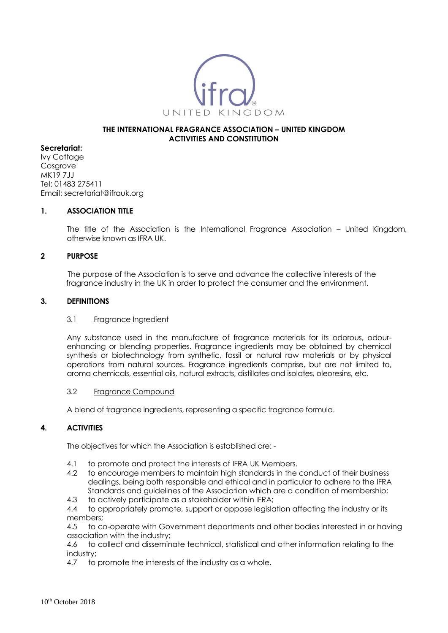

### **THE INTERNATIONAL FRAGRANCE ASSOCIATION – UNITED KINGDOM ACTIVITIES AND CONSTITUTION**

## **Secretariat:**

Ivy Cottage Cosarove MK19 7JJ Tel: 01483 275411 Email: secretariat@ifrauk.org

## **1. ASSOCIATION TITLE**

The title of the Association is the International Fragrance Association – United Kingdom, otherwise known as IFRA UK.

### **2 PURPOSE**

The purpose of the Association is to serve and advance the collective interests of the fragrance industry in the UK in order to protect the consumer and the environment.

### **3. DEFINITIONS**

#### 3.1 Fragrance Ingredient

Any substance used in the manufacture of fragrance materials for its odorous, odourenhancing or blending properties. Fragrance ingredients may be obtained by chemical synthesis or biotechnology from synthetic, fossil or natural raw materials or by physical operations from natural sources. Fragrance ingredients comprise, but are not limited to, aroma chemicals, essential oils, natural extracts, distillates and isolates, oleoresins, etc.

## 3.2 Fragrance Compound

A blend of fragrance ingredients, representing a specific fragrance formula.

## **4. ACTIVITIES**

The objectives for which the Association is established are: -

- 4.1 to promote and protect the interests of IFRA UK Members.
- 4.2 to encourage members to maintain high standards in the conduct of their business dealings, being both responsible and ethical and in particular to adhere to the IFRA Standards and guidelines of the Association which are a condition of membership;
- 4.3 to actively participate as a stakeholder within IFRA;
- 4.4 to appropriately promote, support or oppose legislation affecting the industry or its members;

4.5 to co-operate with Government departments and other bodies interested in or having association with the industry;

4.6 to collect and disseminate technical, statistical and other information relating to the industry;

4.7 to promote the interests of the industry as a whole.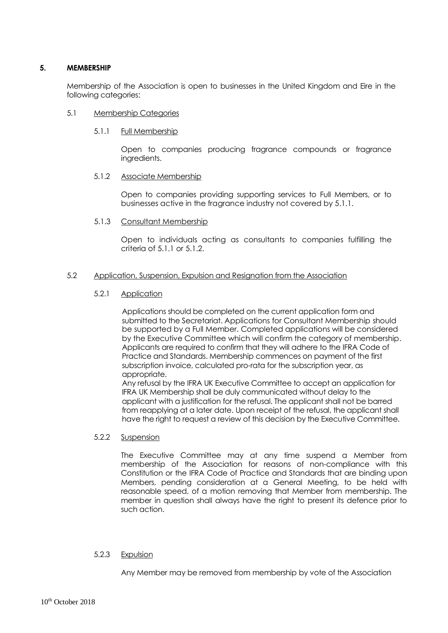## **5. MEMBERSHIP**

Membership of the Association is open to businesses in the United Kingdom and Eire in the following categories:

### 5.1 Membership Categories

### 5.1.1 Full Membership

Open to companies producing fragrance compounds or fragrance ingredients.

### 5.1.2 Associate Membership

Open to companies providing supporting services to Full Members, or to businesses active in the fragrance industry not covered by 5.1.1.

### 5.1.3 Consultant Membership

Open to individuals acting as consultants to companies fulfilling the criteria of 5.1.1 or 5.1.2.

## 5.2 Application, Suspension, Expulsion and Resignation from the Association

### 5.2.1 Application

Applications should be completed on the current application form and submitted to the Secretariat. Applications for Consultant Membership should be supported by a Full Member. Completed applications will be considered by the Executive Committee which will confirm the category of membership. Applicants are required to confirm that they will adhere to the IFRA Code of Practice and Standards. Membership commences on payment of the first subscription invoice, calculated pro-rata for the subscription year, as appropriate.

Any refusal by the IFRA UK Executive Committee to accept an application for IFRA UK Membership shall be duly communicated without delay to the applicant with a justification for the refusal. The applicant shall not be barred from reapplying at a later date. Upon receipt of the refusal, the applicant shall have the right to request a review of this decision by the Executive Committee.

## 5.2.2 Suspension

The Executive Committee may at any time suspend a Member from membership of the Association for reasons of non-compliance with this Constitution or the IFRA Code of Practice and Standards that are binding upon Members, pending consideration at a General Meeting, to be held with reasonable speed, of a motion removing that Member from membership. The member in question shall always have the right to present its defence prior to such action.

## 5.2.3 Expulsion

Any Member may be removed from membership by vote of the Association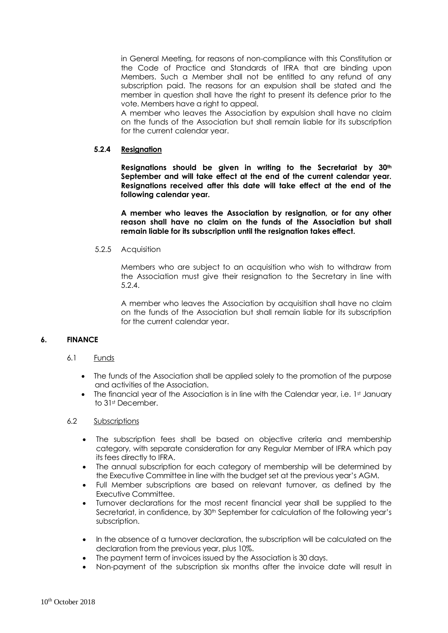in General Meeting, for reasons of non-compliance with this Constitution or the Code of Practice and Standards of IFRA that are binding upon Members. Such a Member shall not be entitled to any refund of any subscription paid. The reasons for an expulsion shall be stated and the member in question shall have the right to present its defence prior to the vote. Members have a right to appeal.

A member who leaves the Association by expulsion shall have no claim on the funds of the Association but shall remain liable for its subscription for the current calendar year.

# **5.2.4 Resignation**

**Resignations should be given in writing to the Secretariat by 30th September and will take effect at the end of the current calendar year. Resignations received after this date will take effect at the end of the following calendar year.** 

**A member who leaves the Association by resignation, or for any other reason shall have no claim on the funds of the Association but shall remain liable for its subscription until the resignation takes effect.**

## 5.2.5 Acquisition

Members who are subject to an acquisition who wish to withdraw from the Association must give their resignation to the Secretary in line with 5.2.4.

A member who leaves the Association by acquisition shall have no claim on the funds of the Association but shall remain liable for its subscription for the current calendar year.

## **6. FINANCE**

## 6.1 Funds

- The funds of the Association shall be applied solely to the promotion of the purpose and activities of the Association.
- The financial year of the Association is in line with the Calendar year, i.e.  $1<sup>st</sup>$  January to 31st December.

## 6.2 Subscriptions

- The subscription fees shall be based on objective criteria and membership category, with separate consideration for any Regular Member of IFRA which pay its fees directly to IFRA.
- The annual subscription for each category of membership will be determined by the Executive Committee in line with the budget set at the previous year's AGM.
- Full Member subscriptions are based on relevant turnover, as defined by the Executive Committee.
- Turnover declarations for the most recent financial year shall be supplied to the Secretariat, in confidence, by 30<sup>th</sup> September for calculation of the following year's subscription.
- In the absence of a turnover declaration, the subscription will be calculated on the declaration from the previous year, plus 10%.
- The payment term of invoices issued by the Association is 30 days.
- Non-payment of the subscription six months after the invoice date will result in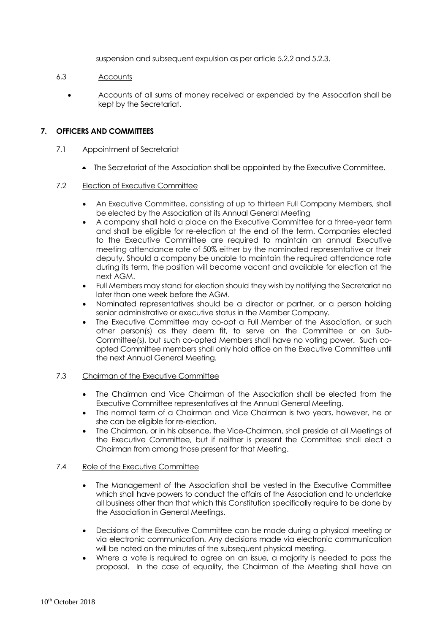suspension and subsequent expulsion as per article 5.2.2 and 5.2.3.

# 6.3 Accounts

• Accounts of all sums of money received or expended by the Assocation shall be kept by the Secretariat.

# **7. OFFICERS AND COMMITTEES**

## 7.1 Appointment of Secretariat

• The Secretariat of the Association shall be appointed by the Executive Committee.

## 7.2 Election of Executive Committee

- An Executive Committee, consisting of up to thirteen Full Company Members, shall be elected by the Association at its Annual General Meeting
- A company shall hold a place on the Executive Committee for a three-year term and shall be eligible for re-election at the end of the term. Companies elected to the Executive Committee are required to maintain an annual Executive meeting attendance rate of 50% either by the nominated representative or their deputy. Should a company be unable to maintain the required attendance rate during its term, the position will become vacant and available for election at the next AGM.
- Full Members may stand for election should they wish by notifying the Secretariat no later than one week before the AGM.
- Nominated representatives should be a director or partner, or a person holding senior administrative or executive status in the Member Company.
- The Executive Committee may co-opt a Full Member of the Association, or such other person(s) as they deem fit, to serve on the Committee or on Sub-Committee(s), but such co-opted Members shall have no voting power. Such coopted Committee members shall only hold office on the Executive Committee until the next Annual General Meeting.

## 7.3 Chairman of the Executive Committee

- The Chairman and Vice Chairman of the Association shall be elected from the Executive Committee representatives at the Annual General Meeting.
- The normal term of a Chairman and Vice Chairman is two years, however, he or she can be eligible for re-election.
- The Chairman, or in his absence, the Vice-Chairman, shall preside at all Meetings of the Executive Committee, but if neither is present the Committee shall elect a Chairman from among those present for that Meeting.

## 7.4 Role of the Executive Committee

- The Management of the Association shall be vested in the Executive Committee which shall have powers to conduct the affairs of the Association and to undertake all business other than that which this Constitution specifically require to be done by the Association in General Meetings.
- Decisions of the Executive Committee can be made during a physical meeting or via electronic communication. Any decisions made via electronic communication will be noted on the minutes of the subsequent physical meeting.
- Where a vote is required to agree on an issue, a majority is needed to pass the proposal. In the case of equality, the Chairman of the Meeting shall have an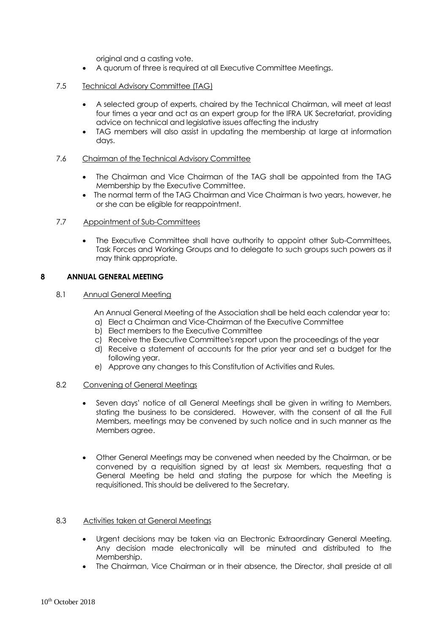original and a casting vote.

• A quorum of three is required at all Executive Committee Meetings.

## 7.5 Technical Advisory Committee (TAG)

- A selected group of experts, chaired by the Technical Chairman, will meet at least four times a year and act as an expert group for the IFRA UK Secretariat, providing advice on technical and legislative issues affecting the industry
- TAG members will also assist in updating the membership at large at information days.

### 7.6 Chairman of the Technical Advisory Committee

- The Chairman and Vice Chairman of the TAG shall be appointed from the TAG Membership by the Executive Committee.
- The normal term of the TAG Chairman and Vice Chairman is two years, however, he or she can be eligible for reappointment.

### 7.7 Appointment of Sub-Committees

• The Executive Committee shall have authority to appoint other Sub-Committees, Task Forces and Working Groups and to delegate to such groups such powers as it may think appropriate.

### **8 ANNUAL GENERAL MEETING**

## 8.1 Annual General Meeting

An Annual General Meeting of the Association shall be held each calendar year to:

- a) Elect a Chairman and Vice-Chairman of the Executive Committee
- b) Elect members to the Executive Committee
- c) Receive the Executive Committee's report upon the proceedings of the year
- d) Receive a statement of accounts for the prior year and set a budget for the following year.
- e) Approve any changes to this Constitution of Activities and Rules.

#### 8.2 Convening of General Meetings

- Seven days' notice of all General Meetings shall be given in writing to Members, stating the business to be considered. However, with the consent of all the Full Members, meetings may be convened by such notice and in such manner as the Members agree.
- Other General Meetings may be convened when needed by the Chairman, or be convened by a requisition signed by at least six Members, requesting that a General Meeting be held and stating the purpose for which the Meeting is requisitioned. This should be delivered to the Secretary.

## 8.3 Activities taken at General Meetings

- Urgent decisions may be taken via an Electronic Extraordinary General Meeting. Any decision made electronically will be minuted and distributed to the Membership.
- The Chairman, Vice Chairman or in their absence, the Director, shall preside at all